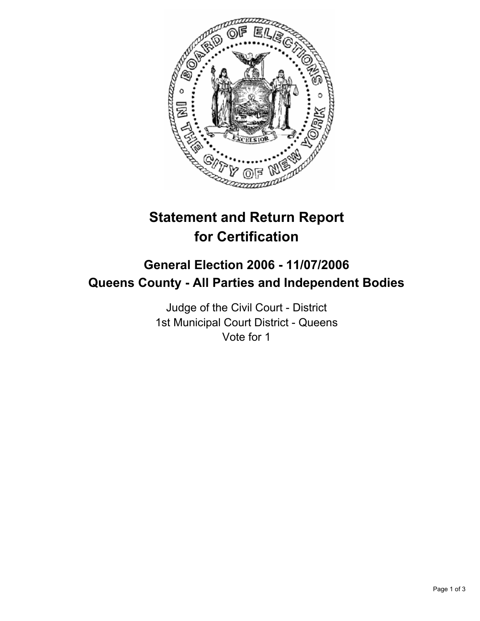

# **Statement and Return Report for Certification**

# **General Election 2006 - 11/07/2006 Queens County - All Parties and Independent Bodies**

Judge of the Civil Court - District 1st Municipal Court District - Queens Vote for 1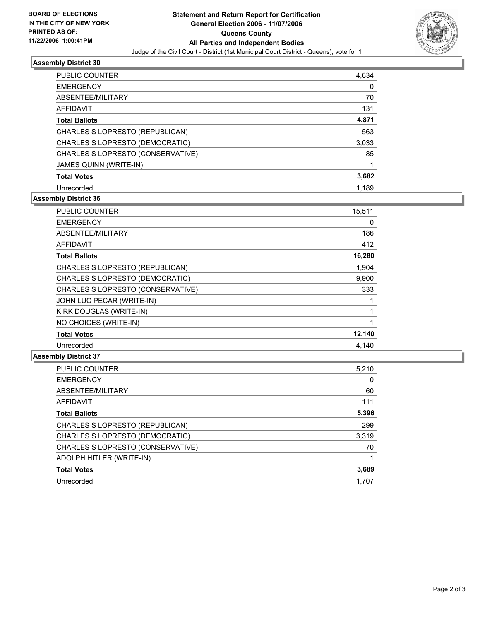

## **Assembly District 30**

| PUBLIC COUNTER                    | 4,634 |  |
|-----------------------------------|-------|--|
| <b>EMERGENCY</b>                  |       |  |
| ABSENTEE/MILITARY                 | 70    |  |
| AFFIDAVIT                         | 131   |  |
| <b>Total Ballots</b>              | 4,871 |  |
| CHARLES S LOPRESTO (REPUBLICAN)   | 563   |  |
| CHARLES S LOPRESTO (DEMOCRATIC)   | 3,033 |  |
| CHARLES S LOPRESTO (CONSERVATIVE) | 85    |  |
| JAMES QUINN (WRITE-IN)            |       |  |
| <b>Total Votes</b>                | 3,682 |  |
| Unrecorded                        | 1.189 |  |

# **Assembly District 36**

| PUBLIC COUNTER                    | 15,511 |
|-----------------------------------|--------|
| <b>EMERGENCY</b>                  | 0      |
| ABSENTEE/MILITARY                 | 186    |
| AFFIDAVIT                         | 412    |
| <b>Total Ballots</b>              | 16,280 |
| CHARLES S LOPRESTO (REPUBLICAN)   | 1.904  |
| CHARLES S LOPRESTO (DEMOCRATIC)   | 9,900  |
| CHARLES S LOPRESTO (CONSERVATIVE) | 333    |
| JOHN LUC PECAR (WRITE-IN)         |        |
| KIRK DOUGLAS (WRITE-IN)           |        |
| NO CHOICES (WRITE-IN)             |        |
| <b>Total Votes</b>                | 12,140 |
| Unrecorded                        | 4.140  |

### **Assembly District 37**

| <b>PUBLIC COUNTER</b>             | 5,210 |
|-----------------------------------|-------|
| <b>EMERGENCY</b>                  | 0     |
| ABSENTEE/MILITARY                 | 60    |
| <b>AFFIDAVIT</b>                  | 111   |
| <b>Total Ballots</b>              | 5,396 |
| CHARLES S LOPRESTO (REPUBLICAN)   | 299   |
| CHARLES S LOPRESTO (DEMOCRATIC)   | 3,319 |
| CHARLES S LOPRESTO (CONSERVATIVE) | 70    |
| ADOLPH HITLER (WRITE-IN)          |       |
| <b>Total Votes</b>                | 3,689 |
| Unrecorded                        | 1.707 |